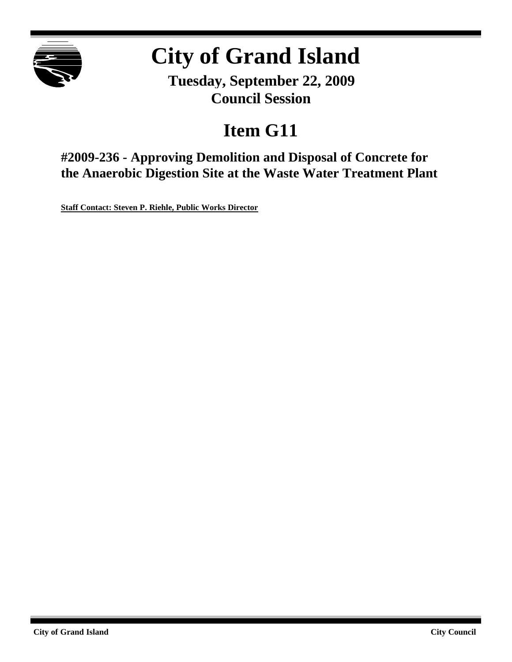

# **City of Grand Island**

**Tuesday, September 22, 2009 Council Session**

# **Item G11**

**#2009-236 - Approving Demolition and Disposal of Concrete for the Anaerobic Digestion Site at the Waste Water Treatment Plant**

**Staff Contact: Steven P. Riehle, Public Works Director**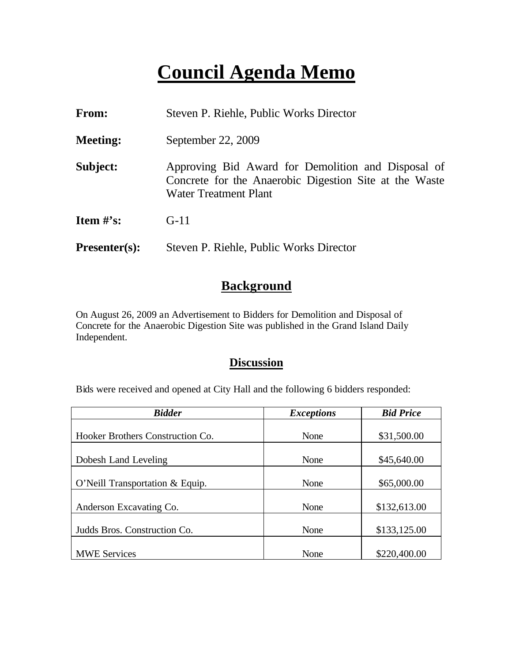# **Council Agenda Memo**

| From:                          | Steven P. Riehle, Public Works Director                                                                                                      |  |
|--------------------------------|----------------------------------------------------------------------------------------------------------------------------------------------|--|
| <b>Meeting:</b>                | September 22, 2009                                                                                                                           |  |
| Subject:                       | Approving Bid Award for Demolition and Disposal of<br>Concrete for the Anaerobic Digestion Site at the Waste<br><b>Water Treatment Plant</b> |  |
| <b>Item <math>\#</math>'s:</b> | $G-11$                                                                                                                                       |  |
| $Presenter(s):$                | Steven P. Riehle, Public Works Director                                                                                                      |  |

## **Background**

On August 26, 2009 an Advertisement to Bidders for Demolition and Disposal of Concrete for the Anaerobic Digestion Site was published in the Grand Island Daily Independent.

#### **Discussion**

Bids were received and opened at City Hall and the following 6 bidders responded:

| <b>Bidder</b>                     | <i>Exceptions</i> | <b>Bid Price</b> |
|-----------------------------------|-------------------|------------------|
|                                   |                   |                  |
| Hooker Brothers Construction Co.  | None              | \$31,500.00      |
|                                   |                   |                  |
| Dobesh Land Leveling              | None              | \$45,640.00      |
|                                   |                   |                  |
| O'Neill Transportation $&$ Equip. | None              | \$65,000.00      |
|                                   |                   |                  |
| Anderson Excavating Co.           | None              | \$132,613.00     |
|                                   |                   |                  |
| Judds Bros. Construction Co.      | None              | \$133,125.00     |
|                                   |                   |                  |
| <b>MWE Services</b>               | None              | \$220,400.00     |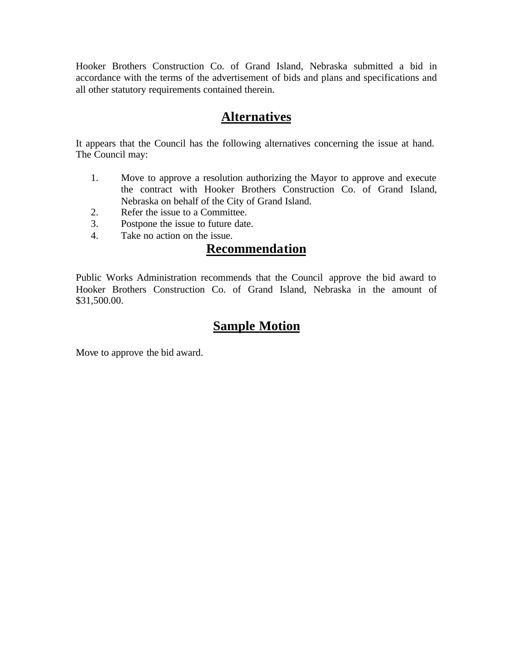Hooker Brothers Construction Co. of Grand Island, Nebraska submitted a bid in accordance with the terms of the advertisement of bids and plans and specifications and all other statutory requirements contained therein.

### **Alternatives**

It appears that the Council has the following alternatives concerning the issue at hand. The Council may:

- 1. Move to approve a resolution authorizing the Mayor to approve and execute the contract with Hooker Brothers Construction Co. of Grand Island, Nebraska on behalf of the City of Grand Island.
- 2. Refer the issue to a Committee.
- 3. Postpone the issue to future date.
- 4. Take no action on the issue.

#### **Recommendation**

Public Works Administration recommends that the Council approve the bid award to Hooker Brothers Construction Co. of Grand Island, Nebraska in the amount of \$31,500.00.

### **Sample Motion**

Move to approve the bid award.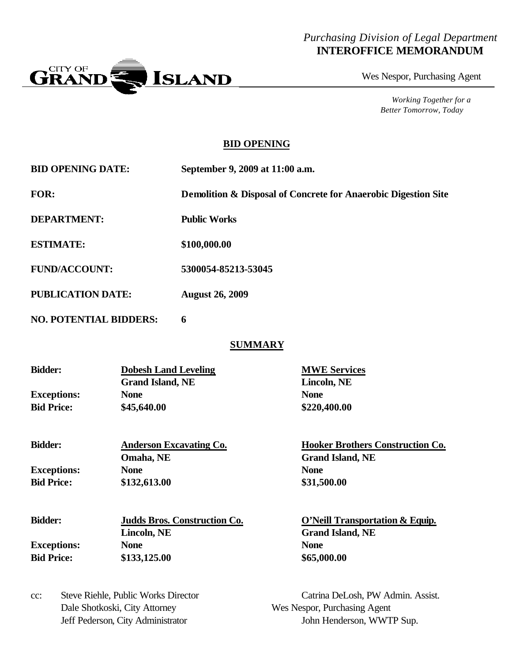#### *Purchasing Division of Legal Department* **INTEROFFICE MEMORANDUM**



Wes Nespor, Purchasing Agent

*Working Together for a Better Tomorrow, Today*

#### **BID OPENING**

**BID OPENING DATE: September 9, 2009 at 11:00 a.m.**

**FOR: Demolition & Disposal of Concrete for Anaerobic Digestion Site**

**DEPARTMENT: Public Works**

**ESTIMATE: \$100,000.00**

**FUND/ACCOUNT: 5300054-85213-53045**

**PUBLICATION DATE: August 26, 2009**

**NO. POTENTIAL BIDDERS: 6**

#### **SUMMARY**

| <b>Bidder:</b>     | <b>Dobesh Land Leveling</b> | <b>MWE Services</b> |
|--------------------|-----------------------------|---------------------|
|                    | <b>Grand Island, NE</b>     | Lincoln, NE         |
| <b>Exceptions:</b> | <b>None</b>                 | <b>None</b>         |
| <b>Bid Price:</b>  | \$45,640.00                 | \$220,400.00        |

| <b>Bidder:</b>     | <b>Anderson Excavating Co.</b> | <b>Hooker Brothers Construction Co.</b> |
|--------------------|--------------------------------|-----------------------------------------|
|                    | Omaha, NE                      | <b>Grand Island, NE</b>                 |
| <b>Exceptions:</b> | <b>None</b>                    | <b>None</b>                             |
| <b>Bid Price:</b>  | \$132,613.00                   | \$31,500.00                             |
|                    |                                |                                         |
|                    |                                |                                         |

| <b>Judds Bros. Construction Co.</b> | O'Neill Transportation & Equip. |
|-------------------------------------|---------------------------------|
| Lincoln, NE                         | <b>Grand Island, NE</b>         |
| None                                | <b>None</b>                     |
| \$133,125.00                        | \$65,000.00                     |
|                                     |                                 |

cc: Steve Riehle, Public Works Director Catrina DeLosh, PW Admin. Assist. Dale Shotkoski, City Attorney Wes Nespor, Purchasing Agent

Jeff Pederson, City Administrator John Henderson, WWTP Sup.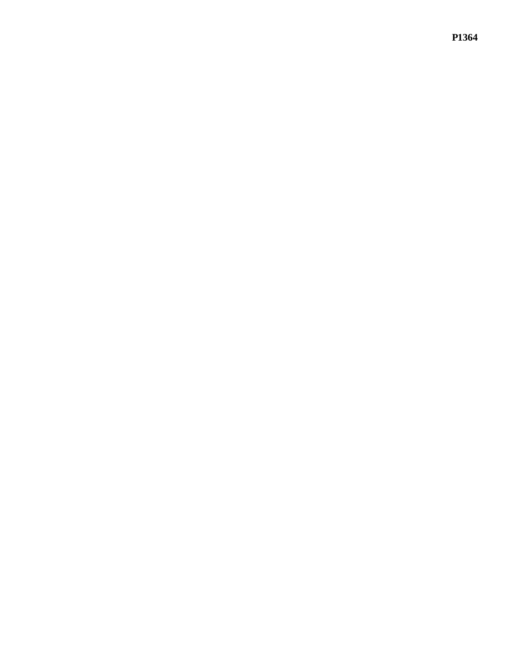**P1364**